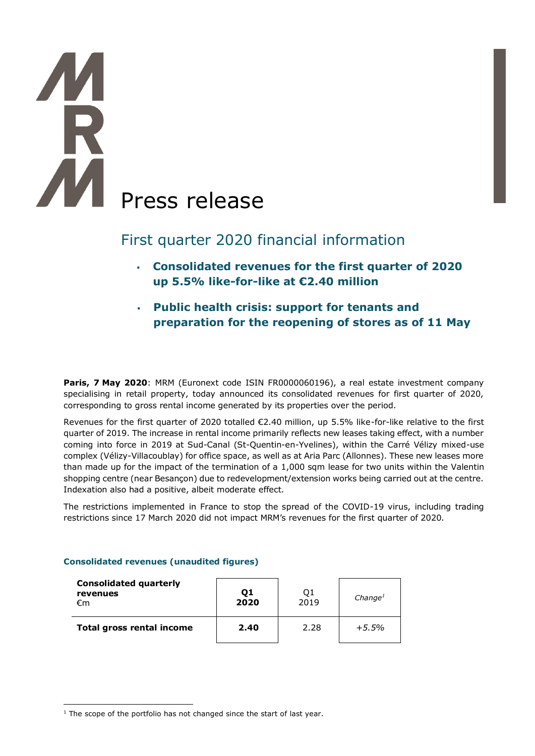# **TA**<br>R AM Press release

# First quarter 2020 financial information

- **Consolidated revenues for the first quarter of 2020 up 5.5% like-for-like at €2.40 million**
- **Public health crisis: support for tenants and preparation for the reopening of stores as of 11 May**

**Paris, 7 May 2020**: MRM (Euronext code ISIN FR0000060196), a real estate investment company specialising in retail property, today announced its consolidated revenues for first quarter of 2020, corresponding to gross rental income generated by its properties over the period.

Revenues for the first quarter of 2020 totalled €2.40 million, up 5.5% like-for-like relative to the first quarter of 2019. The increase in rental income primarily reflects new leases taking effect, with a number coming into force in 2019 at Sud-Canal (St-Quentin-en-Yvelines), within the Carré Vélizy mixed-use complex (Vélizy-Villacoublay) for office space, as well as at Aria Parc (Allonnes). These new leases more than made up for the impact of the termination of a 1,000 sqm lease for two units within the Valentin shopping centre (near Besançon) due to redevelopment/extension works being carried out at the centre. Indexation also had a positive, albeit moderate effect.

The restrictions implemented in France to stop the spread of the COVID-19 virus, including trading restrictions since 17 March 2020 did not impact MRM's revenues for the first quarter of 2020.

# **Consolidated revenues (unaudited figures)**

| <b>Consolidated quarterly</b><br>revenues<br>€m | Q1<br>2020 | Q1<br>2019 | Change <sup>1</sup> |
|-------------------------------------------------|------------|------------|---------------------|
| <b>Total gross rental income</b>                | 2.40       | 2.28       | +5.5%               |

 $1$ <sup>1</sup> The scope of the portfolio has not changed since the start of last year.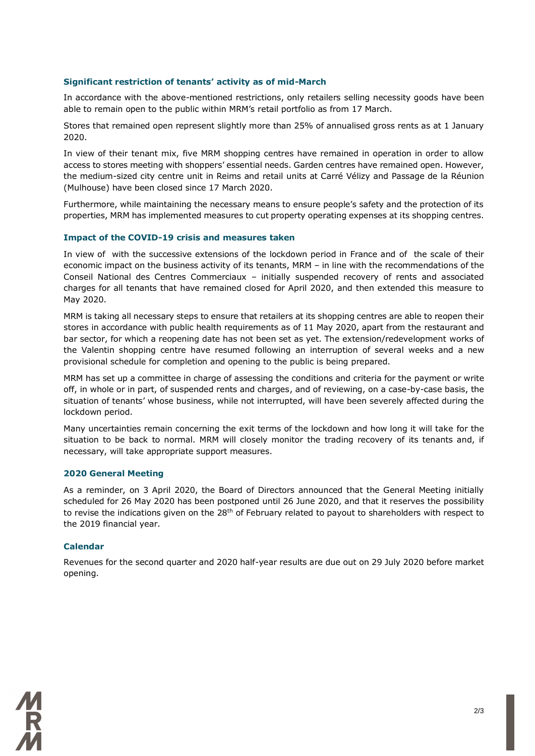### **Significant restriction of tenants' activity as of mid-March**

In accordance with the above-mentioned restrictions, only retailers selling necessity goods have been able to remain open to the public within MRM's retail portfolio as from 17 March.

Stores that remained open represent slightly more than 25% of annualised gross rents as at 1 January 2020.

In view of their tenant mix, five MRM shopping centres have remained in operation in order to allow access to stores meeting with shoppers' essential needs. Garden centres have remained open. However, the medium-sized city centre unit in Reims and retail units at Carré Vélizy and Passage de la Réunion (Mulhouse) have been closed since 17 March 2020.

Furthermore, while maintaining the necessary means to ensure people's safety and the protection of its properties, MRM has implemented measures to cut property operating expenses at its shopping centres.

#### **Impact of the COVID-19 crisis and measures taken**

In view of with the successive extensions of the lockdown period in France and of the scale of their economic impact on the business activity of its tenants, MRM – in line with the recommendations of the Conseil National des Centres Commerciaux – initially suspended recovery of rents and associated charges for all tenants that have remained closed for April 2020, and then extended this measure to May 2020.

MRM is taking all necessary steps to ensure that retailers at its shopping centres are able to reopen their stores in accordance with public health requirements as of 11 May 2020, apart from the restaurant and bar sector, for which a reopening date has not been set as yet. The extension/redevelopment works of the Valentin shopping centre have resumed following an interruption of several weeks and a new provisional schedule for completion and opening to the public is being prepared.

MRM has set up a committee in charge of assessing the conditions and criteria for the payment or write off, in whole or in part, of suspended rents and charges, and of reviewing, on a case-by-case basis, the situation of tenants' whose business, while not interrupted, will have been severely affected during the lockdown period.

Many uncertainties remain concerning the exit terms of the lockdown and how long it will take for the situation to be back to normal. MRM will closely monitor the trading recovery of its tenants and, if necessary, will take appropriate support measures.

#### **2020 General Meeting**

As a reminder, on 3 April 2020, the Board of Directors announced that the General Meeting initially scheduled for 26 May 2020 has been postponed until 26 June 2020, and that it reserves the possibility to revise the indications given on the  $28<sup>th</sup>$  of February related to payout to shareholders with respect to the 2019 financial year.

#### **Calendar**

Revenues for the second quarter and 2020 half-year results are due out on 29 July 2020 before market opening.